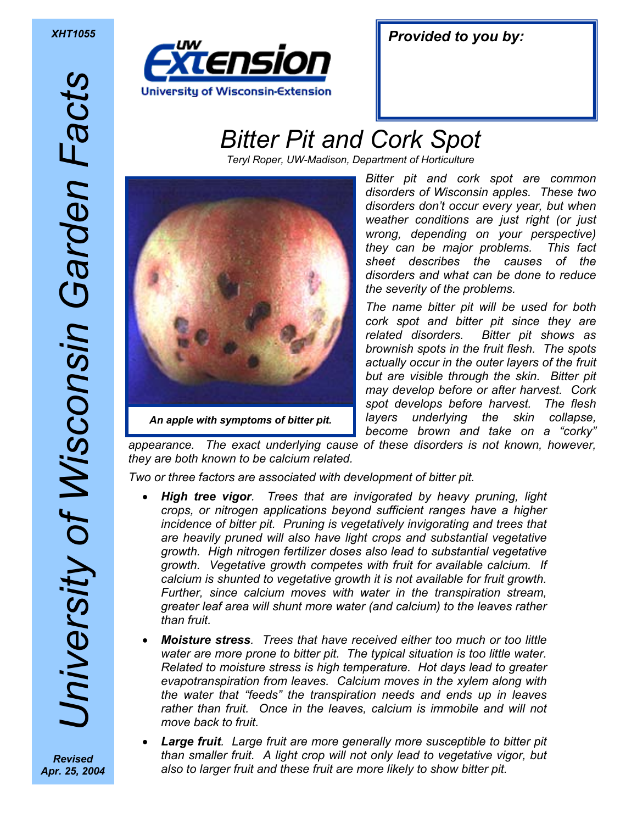*Provided to you by: XHT1055* 

## *Bitter Pit and Cork Spot*

*Teryl Roper, UW-Madison, Department of Horticulture* 



*Bitter pit and cork spot are common disorders of Wisconsin apples. These two disorders don't occur every year, but when weather conditions are just right (or just wrong, depending on your perspective) they can be major problems. This fact sheet describes the causes of the disorders and what can be done to reduce the severity of the problems.* 

*The name bitter pit will be used for both cork spot and bitter pit since they are related disorders. Bitter pit shows as brownish spots in the fruit flesh. The spots actually occur in the outer layers of the fruit but are visible through the skin. Bitter pit may develop before or after harvest. Cork spot develops before harvest. The flesh layers underlying the skin collapse, become brown and take on a "corky"* 

*appearance. The exact underlying cause of these disorders is not known, however, they are both known to be calcium related.* 

*Two or three factors are associated with development of bitter pit.* 

- *High tree vigor. Trees that are invigorated by heavy pruning, light crops, or nitrogen applications beyond sufficient ranges have a higher*  incidence of bitter pit. Pruning is vegetatively invigorating and trees that *are heavily pruned will also have light crops and substantial vegetative growth. High nitrogen fertilizer doses also lead to substantial vegetative growth. Vegetative growth competes with fruit for available calcium. If calcium is shunted to vegetative growth it is not available for fruit growth. Further, since calcium moves with water in the transpiration stream, greater leaf area will shunt more water (and calcium) to the leaves rather than fruit.*
- *Moisture stress. Trees that have received either too much or too little*  water are more prone to bitter pit. The typical situation is too little water. *Related to moisture stress is high temperature. Hot days lead to greater evapotranspiration from leaves. Calcium moves in the xylem along with the water that "feeds" the transpiration needs and ends up in leaves rather than fruit. Once in the leaves, calcium is immobile and will not move back to fruit.*
- *Large fruit. Large fruit are more generally more susceptible to bitter pit than smaller fruit. A light crop will not only lead to vegetative vigor, but also to larger fruit and these fruit are more likely to show bitter pit.*

*University of Wisconsin Garden Facts*  Jniversity of Wisconsin Garden Facts *Revised* 

*Apr. 25, 2004*